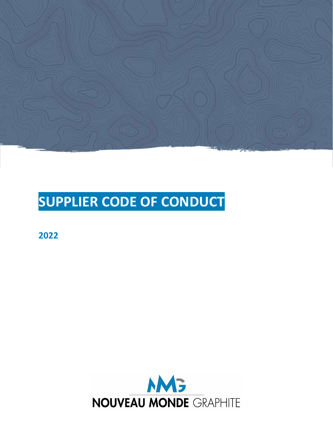

# SUPPLIER CODE OF CONDUCT

2022

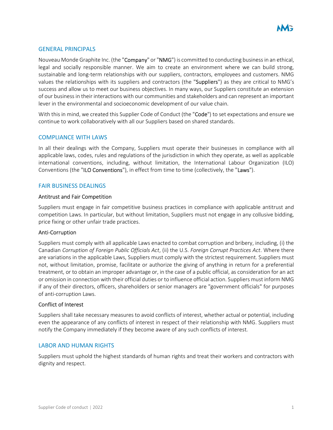

## GENERAL PRINCIPALS

Nouveau Monde Graphite Inc. (the "Company" or "NMG") is committed to conducting business in an ethical, legal and socially responsible manner. We aim to create an environment where we can build strong, sustainable and long-term relationships with our suppliers, contractors, employees and customers. NMG values the relationships with its suppliers and contractors (the "Suppliers") as they are critical to NMG's success and allow us to meet our business objectives. In many ways, our Suppliers constitute an extension of our business in their interactions with our communities and stakeholders and can represent an important lever in the environmental and socioeconomic development of our value chain.

With this in mind, we created this Supplier Code of Conduct (the "Code") to set expectations and ensure we continue to work collaboratively with all our Suppliers based on shared standards.

## COMPLIANCE WITH LAWS

In all their dealings with the Company, Suppliers must operate their businesses in compliance with all applicable laws, codes, rules and regulations of the jurisdiction in which they operate, as well as applicable international conventions, including, without limitation, the International Labour Organization (ILO) Conventions (the "ILO Conventions"), in effect from time to time (collectively, the "Laws").

#### FAIR BUSINESS DEALINGS

#### Antitrust and Fair Competition

Suppliers must engage in fair competitive business practices in compliance with applicable antitrust and competition Laws. In particular, but without limitation, Suppliers must not engage in any collusive bidding, price fixing or other unfair trade practices.

#### Anti-Corruption

Suppliers must comply with all applicable Laws enacted to combat corruption and bribery, including, (i) the Canadian Corruption of Foreign Public Officials Act, (ii) the U.S. Foreign Corrupt Practices Act. Where there are variations in the applicable Laws, Suppliers must comply with the strictest requirement. Suppliers must not, without limitation, promise, facilitate or authorize the giving of anything in return for a preferential treatment, or to obtain an improper advantage or, in the case of a public official, as consideration for an act or omission in connection with their official duties or to influence official action. Suppliers must inform NMG if any of their directors, officers, shareholders or senior managers are "government officials" for purposes of anti-corruption Laws.

## Conflict of Interest

Suppliers shall take necessary measures to avoid conflicts of interest, whether actual or potential, including even the appearance of any conflicts of interest in respect of their relationship with NMG. Suppliers must notify the Company immediately if they become aware of any such conflicts of interest.

#### LABOR AND HUMAN RIGHTS

Suppliers must uphold the highest standards of human rights and treat their workers and contractors with dignity and respect.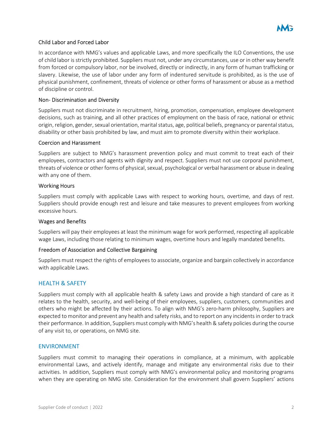

# Child Labor and Forced Labor

In accordance with NMG's values and applicable Laws, and more specifically the ILO Conventions, the use of child labor is strictly prohibited. Suppliers must not, under any circumstances, use or in other way benefit from forced or compulsory labor, nor be involved, directly or indirectly, in any form of human trafficking or slavery. Likewise, the use of labor under any form of indentured servitude is prohibited, as is the use of physical punishment, confinement, threats of violence or other forms of harassment or abuse as a method of discipline or control.

## Non- Discrimination and Diversity

Suppliers must not discriminate in recruitment, hiring, promotion, compensation, employee development decisions, such as training, and all other practices of employment on the basis of race, national or ethnic origin, religion, gender, sexual orientation, marital status, age, political beliefs, pregnancy or parental status, disability or other basis prohibited by law, and must aim to promote diversity within their workplace.

## Coercion and Harassment

Suppliers are subject to NMG's harassment prevention policy and must commit to treat each of their employees, contractors and agents with dignity and respect. Suppliers must not use corporal punishment, threats of violence or other forms of physical, sexual, psychological or verbal harassment or abuse in dealing with any one of them.

## Working Hours

Suppliers must comply with applicable Laws with respect to working hours, overtime, and days of rest. Suppliers should provide enough rest and leisure and take measures to prevent employees from working excessive hours.

#### Wages and Benefits

Suppliers will pay their employees at least the minimum wage for work performed, respecting all applicable wage Laws, including those relating to minimum wages, overtime hours and legally mandated benefits.

## Freedom of Association and Collective Bargaining

Suppliers must respect the rights of employees to associate, organize and bargain collectively in accordance with applicable Laws.

# HEALTH & SAFETY

Suppliers must comply with all applicable health & safety Laws and provide a high standard of care as it relates to the health, security, and well-being of their employees, suppliers, customers, communities and others who might be affected by their actions. To align with NMG's zero-harm philosophy, Suppliers are expected to monitor and prevent any health and safety risks, and to report on any incidents in order to track their performance. In addition, Suppliers must comply with NMG's health & safety policies during the course of any visit to, or operations, on NMG site.

#### ENVIRONMENT

Suppliers must commit to managing their operations in compliance, at a minimum, with applicable environmental Laws, and actively identify, manage and mitigate any environmental risks due to their activities. In addition, Suppliers must comply with NMG's environmental policy and monitoring programs when they are operating on NMG site. Consideration for the environment shall govern Suppliers' actions